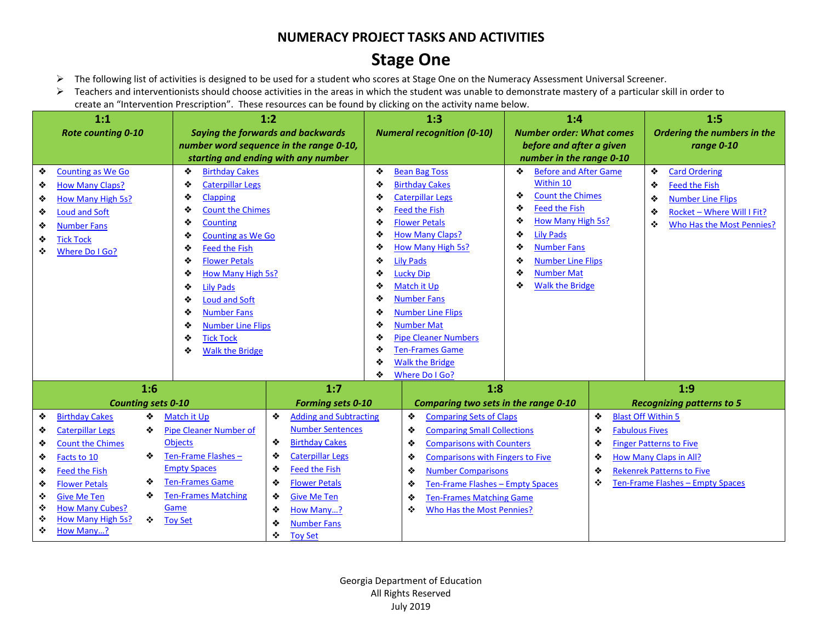## **Stage One**

- ➢ The following list of activities is designed to be used for a student who scores at Stage One on the Numeracy Assessment Universal Screener.
- ➢ Teachers and interventionists should choose activities in the areas in which the student was unable to demonstrate mastery of a particular skill in order to create an "Intervention Prescription". These resources can be found by clicking on the activity name below.

| 1:1 |                              |                                                                                | 1:2                                      |                                | 1:3                                                   | 1:4                                                  |                              | 1:5                              |
|-----|------------------------------|--------------------------------------------------------------------------------|------------------------------------------|--------------------------------|-------------------------------------------------------|------------------------------------------------------|------------------------------|----------------------------------|
|     | <b>Rote counting 0-10</b>    |                                                                                | <b>Saying the forwards and backwards</b> |                                | <b>Numeral recognition (0-10)</b>                     | <b>Number order: What comes</b>                      |                              | Ordering the numbers in the      |
|     |                              | number word sequence in the range 0-10,<br>starting and ending with any number |                                          |                                |                                                       | before and after a given<br>number in the range 0-10 |                              | range 0-10                       |
| ❖   | <b>Counting as We Go</b>     | ❖<br><b>Birthday Cakes</b>                                                     |                                          | ❖<br><b>Bean Bag Toss</b><br>❖ |                                                       |                                                      | <b>Before and After Game</b> | ❖<br><b>Card Ordering</b>        |
| ❖   | <b>How Many Claps?</b>       | ٠<br><b>Caterpillar Legs</b>                                                   |                                          | ❖                              | <b>Birthday Cakes</b>                                 | Within 10                                            |                              | ❖<br><b>Feed the Fish</b>        |
| ❖   | How Many High 5s?            | ٠<br>Clapping                                                                  |                                          | ❖                              | <b>Caterpillar Legs</b>                               | <b>Count the Chimes</b><br>❖                         |                              | ❖<br><b>Number Line Flips</b>    |
| ❖   | <b>Loud and Soft</b>         | <b>Count the Chimes</b><br>◈                                                   |                                          | ❖                              | <b>Feed the Fish</b>                                  | <b>Feed the Fish</b><br>❖                            |                              | Rocket - Where Will I Fit?<br>❖  |
| ❖   | <b>Number Fans</b>           | Counting<br>❖                                                                  |                                          | ❖                              | <b>Flower Petals</b>                                  | How Many High 5s?<br>❖                               |                              | ❖<br>Who Has the Most Pennies?   |
| ❖   | <b>Tick Tock</b>             | <b>Counting as We Go</b><br>❖                                                  |                                          | ❖                              | <b>How Many Claps?</b>                                | <b>Lily Pads</b><br>❖                                |                              |                                  |
| ❖   | Where Do I Go?               | <b>Feed the Fish</b><br>❖                                                      |                                          | ❖                              | How Many High 5s?                                     | <b>Number Fans</b><br>❖                              |                              |                                  |
|     |                              | <b>Flower Petals</b><br>◈                                                      |                                          | ❖                              | <b>Lily Pads</b>                                      | ❖<br><b>Number Line Flips</b>                        |                              |                                  |
|     |                              | How Many High 5s?<br>◈                                                         |                                          | ❖                              | <b>Lucky Dip</b>                                      | <b>Number Mat</b><br>❖                               |                              |                                  |
|     |                              | <b>Lily Pads</b><br>❖                                                          |                                          | ❖                              | Match it Up                                           | <b>Walk the Bridge</b><br>❖                          |                              |                                  |
|     |                              | <b>Loud and Soft</b><br>❖                                                      |                                          | <b>Number Fans</b><br>❖        |                                                       |                                                      |                              |                                  |
|     |                              | <b>Number Fans</b><br>❖                                                        |                                          | ❖                              | <b>Number Line Flips</b>                              |                                                      |                              |                                  |
|     |                              | <b>Number Line Flips</b><br>◈                                                  |                                          | ❖                              | <b>Number Mat</b>                                     |                                                      |                              |                                  |
|     |                              | <b>Tick Tock</b><br>❖                                                          |                                          | ◈<br>❖                         | <b>Pipe Cleaner Numbers</b><br><b>Ten-Frames Game</b> |                                                      |                              |                                  |
|     |                              | <b>Walk the Bridge</b><br>❖                                                    |                                          | ❖                              | <b>Walk the Bridge</b>                                |                                                      |                              |                                  |
|     |                              |                                                                                |                                          | ❖                              | Where Do I Go?                                        |                                                      |                              |                                  |
|     | 1:6                          |                                                                                | 1:7                                      |                                | 1:8                                                   |                                                      |                              | 1:9                              |
|     | <b>Counting sets 0-10</b>    |                                                                                | <b>Forming sets 0-10</b>                 |                                | Comparing two sets in the range 0-10                  |                                                      |                              | <b>Recognizing patterns to 5</b> |
| ❖   | <b>Birthday Cakes</b><br>❖   | Match it Up                                                                    | ❖<br><b>Adding and Subtracting</b>       |                                | ❖<br><b>Comparing Sets of Claps</b>                   |                                                      | ❖                            | <b>Blast Off Within 5</b>        |
| ❖   | <b>Caterpillar Legs</b><br>❖ | <b>Pipe Cleaner Number of</b>                                                  | <b>Number Sentences</b>                  |                                | ❖<br><b>Comparing Small Collections</b>               |                                                      | <b>Fabulous Fives</b><br>❖   |                                  |
| ❖   | <b>Count the Chimes</b>      | <b>Objects</b>                                                                 | ❖<br><b>Birthday Cakes</b>               |                                | ❖<br><b>Comparisons with Counters</b>                 |                                                      | ❖                            | <b>Finger Patterns to Five</b>   |
| ❖   | ❖<br>Facts to 10             | Ten-Frame Flashes-                                                             | ❖<br><b>Caterpillar Legs</b>             |                                | ❖<br><b>Comparisons with Fingers to Five</b>          |                                                      | ❖                            | <b>How Many Claps in All?</b>    |
| ❖   | <b>Feed the Fish</b>         | <b>Empty Spaces</b>                                                            | <b>Feed the Fish</b><br>❖                |                                | <b>Number Comparisons</b><br>❖                        |                                                      | ❖                            | <b>Rekenrek Patterns to Five</b> |
| ❖   | ❖<br><b>Flower Petals</b>    | <b>Ten-Frames Game</b>                                                         | ❖<br><b>Flower Petals</b>                |                                | Ten-Frame Flashes - Empty Spaces<br>❖                 |                                                      | ❖                            | Ten-Frame Flashes - Empty Spaces |
| ❖   | ❖<br><b>Give Me Ten</b>      | <b>Ten-Frames Matching</b>                                                     | ❖<br><b>Give Me Ten</b>                  |                                | <b>Ten-Frames Matching Game</b><br>❖                  |                                                      |                              |                                  |
| ❖   | <b>How Many Cubes?</b>       | Game                                                                           | ❖<br>How Many?                           |                                | Who Has the Most Pennies?<br>❖                        |                                                      |                              |                                  |
| ❖   | How Many High 5s?<br>❖       | <b>Toy Set</b>                                                                 | <b>Number Fans</b><br>❖                  |                                |                                                       |                                                      |                              |                                  |
| ❖   | How Many?                    |                                                                                | ❖<br><b>Toy Set</b>                      |                                |                                                       |                                                      |                              |                                  |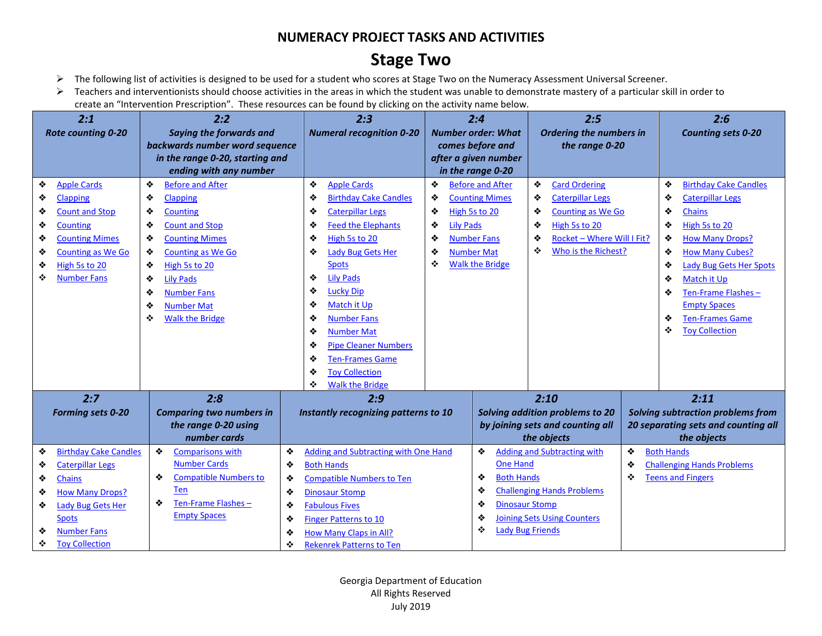### **Stage Two**

- ➢ The following list of activities is designed to be used for a student who scores at Stage Two on the Numeracy Assessment Universal Screener.
- ➢ Teachers and interventionists should choose activities in the areas in which the student was unable to demonstrate mastery of a particular skill in order to create an "Intervention Prescription". These resources can be found by clicking on the activity name below.

| 2:1                               | 2:2                                                       | 2:3                                  | 2:4                                       | 2:5                                             | 2:6                                                |  |  |
|-----------------------------------|-----------------------------------------------------------|--------------------------------------|-------------------------------------------|-------------------------------------------------|----------------------------------------------------|--|--|
| Rote counting 0-20                | <b>Saying the forwards and</b>                            | <b>Numeral recognition 0-20</b>      | <b>Number order: What</b>                 | Ordering the numbers in                         | <b>Counting sets 0-20</b>                          |  |  |
|                                   | backwards number word sequence                            |                                      | comes before and                          | the range 0-20                                  |                                                    |  |  |
|                                   | in the range 0-20, starting and<br>ending with any number |                                      | after a given number<br>in the range 0-20 |                                                 |                                                    |  |  |
| <b>Apple Cards</b><br>❖           | <b>Before and After</b><br>❖                              | ❖<br><b>Apple Cards</b>              | ❖<br><b>Before and After</b>              | ❖<br><b>Card Ordering</b>                       | <b>Birthday Cake Candles</b><br>❖                  |  |  |
| ❖<br><b>Clapping</b>              | ٠<br><b>Clapping</b>                                      | ❖<br><b>Birthday Cake Candles</b>    | ❖<br><b>Counting Mimes</b>                | ❖<br><b>Caterpillar Legs</b>                    | ❖<br><b>Caterpillar Legs</b>                       |  |  |
| ❖<br><b>Count and Stop</b>        | <b>Counting</b><br>❖                                      | ❖<br><b>Caterpillar Legs</b>         | ❖<br>High 5s to 20                        | ❖<br><b>Counting as We Go</b>                   | ❖<br><b>Chains</b>                                 |  |  |
| ❖<br><b>Counting</b>              | ❖<br><b>Count and Stop</b>                                | <b>Feed the Elephants</b><br>❖       | <b>Lily Pads</b><br>❖                     | High 5s to 20<br>❖                              | ❖<br>High 5s to 20                                 |  |  |
| <b>Counting Mimes</b><br>❖        | ❖<br><b>Counting Mimes</b>                                | High 5s to 20<br>❖                   | <b>Number Fans</b><br>❖                   | ❖<br>Rocket - Where Will I Fit?                 | ❖<br><b>How Many Drops?</b>                        |  |  |
| ❖<br><b>Counting as We Go</b>     | ❖<br><b>Counting as We Go</b>                             | ❖<br>Lady Bug Gets Her               | ❖<br><b>Number Mat</b>                    | ❖<br>Who is the Richest?                        | ❖<br><b>How Many Cubes?</b>                        |  |  |
| High 5s to 20<br>❖                | ❖<br>High 5s to 20                                        | <b>Spots</b>                         | ٠<br><b>Walk the Bridge</b>               |                                                 | <b>Lady Bug Gets Her Spots</b><br>❖                |  |  |
| ❖<br><b>Number Fans</b>           | ❖<br><b>Lily Pads</b>                                     | <b>Lily Pads</b><br>❖                |                                           |                                                 | ❖<br>Match it Up                                   |  |  |
|                                   | ❖<br><b>Number Fans</b>                                   | <b>Lucky Dip</b><br>❖                |                                           |                                                 | Ten-Frame Flashes-<br>❖                            |  |  |
|                                   | ❖<br><b>Number Mat</b>                                    | ❖<br>Match it Up                     |                                           |                                                 | <b>Empty Spaces</b>                                |  |  |
|                                   | <b>Walk the Bridge</b><br>❖                               | <b>Number Fans</b><br>❖              |                                           |                                                 | <b>Ten-Frames Game</b><br>❖                        |  |  |
|                                   |                                                           | <b>Number Mat</b><br>❖               |                                           |                                                 | <b>Toy Collection</b><br>❖                         |  |  |
|                                   |                                                           | <b>Pipe Cleaner Numbers</b><br>❖     |                                           |                                                 |                                                    |  |  |
|                                   |                                                           | ❖<br><b>Ten-Frames Game</b>          |                                           |                                                 |                                                    |  |  |
|                                   |                                                           | <b>Toy Collection</b><br>❖           |                                           |                                                 |                                                    |  |  |
|                                   |                                                           | <b>Walk the Bridge</b><br>❖          |                                           |                                                 |                                                    |  |  |
| 2:7                               | 2:8                                                       | 2:9                                  |                                           | 2:10                                            | 2:11                                               |  |  |
| <b>Forming sets 0-20</b>          | <b>Comparing two numbers in</b>                           | Instantly recognizing patterns to 10 |                                           | Solving addition problems to 20                 | Solving subtraction problems from                  |  |  |
|                                   | the range 0-20 using<br>number cards                      |                                      |                                           | by joining sets and counting all<br>the objects | 20 separating sets and counting all<br>the objects |  |  |
| <b>Birthday Cake Candles</b><br>❖ | ❖<br>❖<br><b>Comparisons with</b>                         | Adding and Subtracting with One Hand | ❖                                         | <b>Adding and Subtracting with</b>              | ❖<br><b>Both Hands</b>                             |  |  |
| ❖<br><b>Caterpillar Legs</b>      | <b>Number Cards</b><br>❖                                  | <b>Both Hands</b>                    | <b>One Hand</b>                           |                                                 | ❖<br><b>Challenging Hands Problems</b>             |  |  |
| <b>Chains</b><br>❖                | ❖<br><b>Compatible Numbers to</b><br>❖                    | <b>Compatible Numbers to Ten</b>     | <b>Both Hands</b><br>❖                    |                                                 | ❖<br><b>Teens and Fingers</b>                      |  |  |
| <b>How Many Drops?</b><br>❖       | <b>Ten</b><br>❖                                           | <b>Dinosaur Stomp</b>                | ❖                                         | <b>Challenging Hands Problems</b>               |                                                    |  |  |
| ❖<br>Lady Bug Gets Her            | Ten-Frame Flashes-<br>❖<br>❖                              | <b>Fabulous Fives</b>                | <b>Dinosaur Stomp</b><br>❖                |                                                 |                                                    |  |  |
| <b>Spots</b>                      | <b>Empty Spaces</b><br>❖                                  | <b>Finger Patterns to 10</b>         | ❖                                         | <b>Joining Sets Using Counters</b>              |                                                    |  |  |
| <b>Number Fans</b><br>❖           | ❖                                                         | <b>How Many Claps in All?</b>        | ❖                                         | <b>Lady Bug Friends</b>                         |                                                    |  |  |
| <b>Toy Collection</b><br>❖        | ❖                                                         | <b>Rekenrek Patterns to Ten</b>      |                                           |                                                 |                                                    |  |  |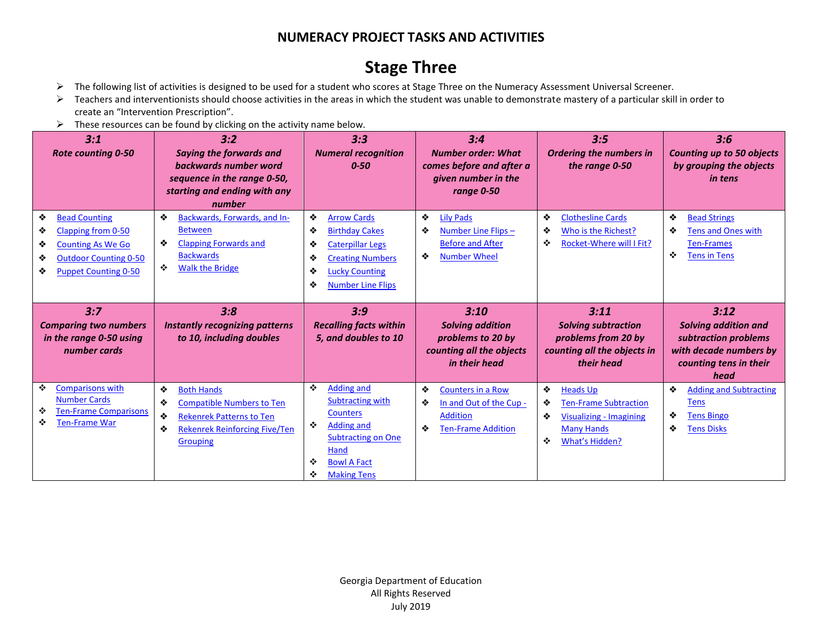# **Stage Three**

- ➢ The following list of activities is designed to be used for a student who scores at Stage Three on the Numeracy Assessment Universal Screener.
- ➢ Teachers and interventionists should choose activities in the areas in which the student was unable to demonstrate mastery of a particular skill in order to create an "Intervention Prescription".
- $\triangleright$  These resources can be found by clicking on the activity name below.

| 3:1<br><b>Rote counting 0-50</b>                                                                                                                               | 3:2<br><b>Saying the forwards and</b><br>backwards number word<br>sequence in the range 0-50,<br>starting and ending with any<br>number     | 3:3<br><b>Numeral recognition</b><br>$0 - 50$                                                                                                                                        | 3:4<br><b>Number order: What</b><br>comes before and after a<br>given number in the<br>range 0-50       | 3:5<br><b>Ordering the numbers in</b><br>the range 0-50                                                | 3:6<br><b>Counting up to 50 objects</b><br>by grouping the objects<br><i>in tens</i>                             |
|----------------------------------------------------------------------------------------------------------------------------------------------------------------|---------------------------------------------------------------------------------------------------------------------------------------------|--------------------------------------------------------------------------------------------------------------------------------------------------------------------------------------|---------------------------------------------------------------------------------------------------------|--------------------------------------------------------------------------------------------------------|------------------------------------------------------------------------------------------------------------------|
| ❖<br><b>Bead Counting</b><br>Clapping from 0-50<br>❖<br>❖<br><b>Counting As We Go</b><br>❖<br><b>Outdoor Counting 0-50</b><br><b>Puppet Counting 0-50</b><br>❖ | ❖<br>Backwards, Forwards, and In-<br><b>Between</b><br>❖<br><b>Clapping Forwards and</b><br><b>Backwards</b><br>❖<br><b>Walk the Bridge</b> | ❖<br><b>Arrow Cards</b><br>❖<br><b>Birthday Cakes</b><br>❖<br><b>Caterpillar Legs</b><br>❖<br><b>Creating Numbers</b><br>❖<br><b>Lucky Counting</b><br>❖<br><b>Number Line Flips</b> | ❖<br><b>Lily Pads</b><br>Number Line Flips-<br>❖<br><b>Before and After</b><br>❖<br><b>Number Wheel</b> | ❖<br><b>Clothesline Cards</b><br>Who is the Richest?<br>❖<br>❖<br>Rocket-Where will I Fit?             | ❖<br><b>Bead Strings</b><br><b>Tens and Ones with</b><br>❖<br><b>Ten-Frames</b><br>❖<br><b>Tens in Tens</b>      |
|                                                                                                                                                                |                                                                                                                                             |                                                                                                                                                                                      |                                                                                                         |                                                                                                        |                                                                                                                  |
| 3:7<br><b>Comparing two numbers</b><br>in the range 0-50 using<br>number cards                                                                                 | 3:8<br>Instantly recognizing patterns<br>to 10, including doubles                                                                           | 3:9<br><b>Recalling facts within</b><br>5, and doubles to 10                                                                                                                         | 3:10<br><b>Solving addition</b><br>problems to 20 by<br>counting all the objects<br>in their head       | 3:11<br><b>Solving subtraction</b><br>problems from 20 by<br>counting all the objects in<br>their head | 3:12<br>Solving addition and<br>subtraction problems<br>with decade numbers by<br>counting tens in their<br>head |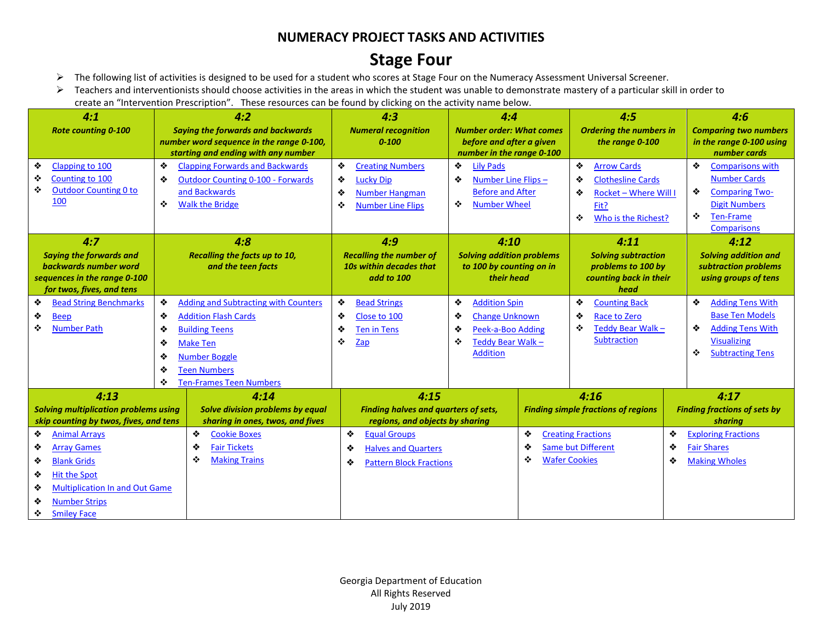### **Stage Four**

- ➢ The following list of activities is designed to be used for a student who scores at Stage Four on the Numeracy Assessment Universal Screener.
- ➢ Teachers and interventionists should choose activities in the areas in which the student was unable to demonstrate mastery of a particular skill in order to create an "Intervention Prescription". These resources can be found by clicking on the activity name below.

| 4:1<br><b>Rote counting 0-100</b><br>Clapping to 100<br>❖                                                                                                                                                         | 4:2<br><b>Saying the forwards and backwards</b><br>number word sequence in the range 0-100,<br>starting and ending with any number<br>❖<br><b>Clapping Forwards and Backwards</b>                                                          | 4:3<br><b>Numeral recognition</b><br>$0 - 100$<br>❖<br><b>Creating Numbers</b>                     | 4:4<br><b>Number order: What comes</b><br>before and after a given<br>number in the range 0-100<br>❖<br><b>Lily Pads</b>      | 4:5<br><b>Ordering the numbers in</b><br>the range 0-100<br>❖<br><b>Arrow Cards</b>                    | 4:6<br><b>Comparing two numbers</b><br>in the range 0-100 using<br>number cards<br>❖<br><b>Comparisons with</b>                              |
|-------------------------------------------------------------------------------------------------------------------------------------------------------------------------------------------------------------------|--------------------------------------------------------------------------------------------------------------------------------------------------------------------------------------------------------------------------------------------|----------------------------------------------------------------------------------------------------|-------------------------------------------------------------------------------------------------------------------------------|--------------------------------------------------------------------------------------------------------|----------------------------------------------------------------------------------------------------------------------------------------------|
| Counting to 100<br>❖<br>❖<br><b>Outdoor Counting 0 to</b><br>100                                                                                                                                                  | ❖<br><b>Outdoor Counting 0-100 - Forwards</b><br>and Backwards<br><b>Walk the Bridge</b><br>❖                                                                                                                                              | ❖<br><b>Lucky Dip</b><br>❖<br>Number Hangman<br>❖<br><b>Number Line Flips</b>                      | ❖<br>Number Line Flips-<br><b>Before and After</b><br><b>Number Wheel</b><br>❖                                                | ❖<br><b>Clothesline Cards</b><br><b>Rocket - Where Will I</b><br>❖<br>Fit?<br>❖<br>Who is the Richest? | <b>Number Cards</b><br>❖<br><b>Comparing Two-</b><br><b>Digit Numbers</b><br>❖<br><b>Ten-Frame</b><br><b>Comparisons</b>                     |
| 4:7<br><b>Saying the forwards and</b><br>backwards number word<br>sequences in the range 0-100<br>for twos, fives, and tens                                                                                       | 4:8<br>Recalling the facts up to 10,<br>and the teen facts                                                                                                                                                                                 |                                                                                                    | 4:10<br><b>Solving addition problems</b><br>to 100 by counting on in<br>their head                                            | 4:11<br><b>Solving subtraction</b><br>problems to 100 by<br>counting back in their<br>head             | 4:12<br><b>Solving addition and</b><br>subtraction problems<br>using groups of tens                                                          |
| <b>Bead String Benchmarks</b><br>❖<br><b>Beep</b><br>❖<br>❖<br><b>Number Path</b>                                                                                                                                 | ❖<br><b>Adding and Subtracting with Counters</b><br><b>Addition Flash Cards</b><br>❖<br>❖<br><b>Building Teens</b><br>❖<br><b>Make Ten</b><br>❖<br><b>Number Boggle</b><br>❖<br><b>Teen Numbers</b><br>❖<br><b>Ten-Frames Teen Numbers</b> | ❖<br><b>Bead Strings</b><br>❖<br>Close to 100<br>❖<br><b>Ten in Tens</b><br>❖<br>Zap               | ❖<br><b>Addition Spin</b><br><b>Change Unknown</b><br>❖<br>❖<br>Peek-a-Boo Adding<br>Teddy Bear Walk-<br>❖<br><b>Addition</b> | ❖<br><b>Counting Back</b><br>❖<br><b>Race to Zero</b><br>❖<br>Teddy Bear Walk -<br><b>Subtraction</b>  | ❖<br><b>Adding Tens With</b><br><b>Base Ten Models</b><br><b>Adding Tens With</b><br>❖<br><b>Visualizing</b><br>❖<br><b>Subtracting Tens</b> |
| 4:13<br><b>Solving multiplication problems using</b><br>skip counting by twos, fives, and tens                                                                                                                    | 4:14<br>Solve division problems by equal<br>sharing in ones, twos, and fives                                                                                                                                                               | 4:15<br><b>Finding halves and quarters of sets,</b><br>regions, and objects by sharing             |                                                                                                                               | 4:16<br><b>Finding simple fractions of regions</b>                                                     | 4:17<br><b>Finding fractions of sets by</b><br>sharing                                                                                       |
| ❖<br><b>Animal Arrays</b><br><b>Array Games</b><br>❖<br><b>Blank Grids</b><br>❖<br>❖<br><b>Hit the Spot</b><br><b>Multiplication In and Out Game</b><br>❖<br><b>Number Strips</b><br>❖<br><b>Smiley Face</b><br>❖ | ❖<br><b>Cookie Boxes</b><br>❖<br><b>Fair Tickets</b><br>❖<br><b>Making Trains</b>                                                                                                                                                          | ❖<br><b>Equal Groups</b><br><b>Halves and Quarters</b><br>❖<br>❖<br><b>Pattern Block Fractions</b> | ❖<br>❖<br>❖                                                                                                                   | ❖<br><b>Creating Fractions</b><br>Same but Different<br>❖<br><b>Wafer Cookies</b><br>❖                 | <b>Exploring Fractions</b><br><b>Fair Shares</b><br><b>Making Wholes</b>                                                                     |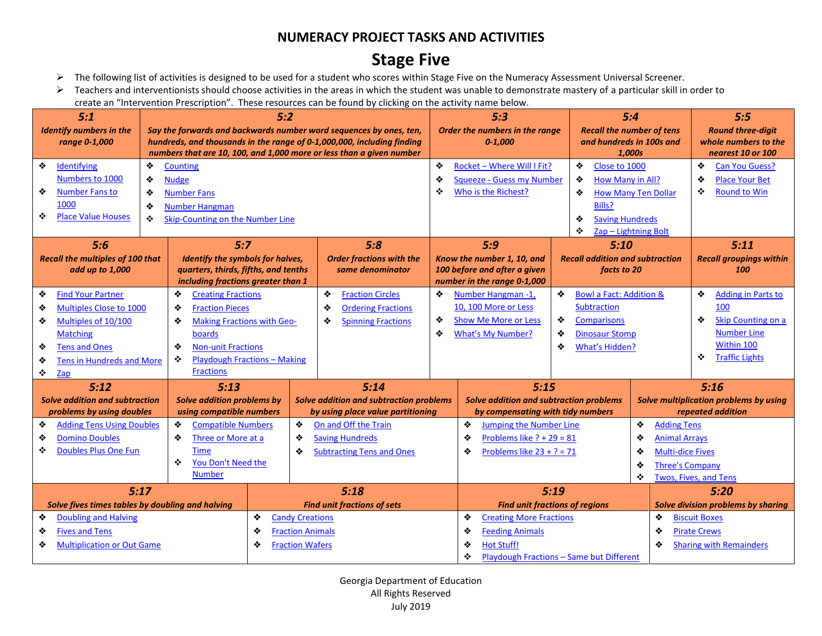## **Stage Five**

- ➢ The following list of activities is designed to be used for a student who scores within Stage Five on the Numeracy Assessment Universal Screener.
- ➢ Teachers and interventionists should choose activities in the areas in which the student was unable to demonstrate mastery of a particular skill in order to create an "Intervention Prescription". These resources can be found by clicking on the activity name below.

| 5:1<br><b>Identify numbers in the</b><br>range 0-1,000                                                                                                                                  | 5:2<br>Say the forwards and backwards number word sequences by ones, ten,<br>hundreds, and thousands in the range of 0-1,000,000, including finding<br>numbers that are 10, 100, and 1,000 more or less than a given number |                                                                                                                                                  | 5:3<br>Order the numbers in the range<br>$0 - 1,000$                                                                                                            | 5:4<br><b>Recall the number of tens</b><br>and hundreds in 100s and<br>1,000s                                                                        | 5:5<br><b>Round three-digit</b><br>whole numbers to the<br>nearest 10 or 100                                                       |
|-----------------------------------------------------------------------------------------------------------------------------------------------------------------------------------------|-----------------------------------------------------------------------------------------------------------------------------------------------------------------------------------------------------------------------------|--------------------------------------------------------------------------------------------------------------------------------------------------|-----------------------------------------------------------------------------------------------------------------------------------------------------------------|------------------------------------------------------------------------------------------------------------------------------------------------------|------------------------------------------------------------------------------------------------------------------------------------|
| ❖<br>Identifying<br>Numbers to 1000<br>❖<br><b>Number Fans to</b><br>1000<br>❖<br><b>Place Value Houses</b>                                                                             | ❖<br>Counting<br>❖<br><b>Nudge</b><br>❖<br><b>Number Fans</b><br>❖<br><b>Number Hangman</b><br>❖<br>Skip-Counting on the Number Line                                                                                        |                                                                                                                                                  | Rocket - Where Will I Fit?<br>❖<br>❖<br>Squeeze - Guess my Number<br>٠<br>Who is the Richest?                                                                   | ❖<br>Close to 1000<br>❖<br>How Many in All?<br>❖<br><b>How Many Ten Dollar</b><br>Bills?<br>❖<br><b>Saving Hundreds</b><br>Zap - Lightning Bolt<br>❖ | ❖<br><b>Can You Guess?</b><br>❖<br><b>Place Your Bet</b><br>❖<br><b>Round to Win</b>                                               |
| 5:6<br><b>Recall the multiples of 100 that</b><br>add up to 1,000                                                                                                                       | 5:7<br>Identify the symbols for halves,<br>quarters, thirds, fifths, and tenths<br>including fractions greater than 1                                                                                                       | 5:8<br><b>Order fractions with the</b><br>same denominator                                                                                       | 5:9<br>Know the number 1, 10, and<br>100 before and after a given<br>number in the range 0-1,000                                                                | 5:10<br><b>Recall addition and subtraction</b><br>facts to 20                                                                                        | 5:11<br><b>Recall groupings within</b><br>100                                                                                      |
| ❖<br><b>Find Your Partner</b><br>❖<br>Multiples Close to 1000<br>Multiples of 10/100<br>❖<br><b>Matching</b><br><b>Tens and Ones</b><br>❖<br>Tens in Hundreds and More<br>❖<br>❖<br>Zap | ❖<br><b>Creating Fractions</b><br>❖<br><b>Fraction Pieces</b><br><b>Making Fractions with Geo-</b><br>❖<br><b>boards</b><br><b>Non-unit Fractions</b><br>❖<br><b>Playdough Fractions - Making</b><br>٠<br><b>Fractions</b>  | ❖<br><b>Fraction Circles</b><br>❖<br><b>Ordering Fractions</b><br><b>Spinning Fractions</b><br>❖                                                 | ❖<br>Number Hangman -1,<br>10, 100 More or Less<br>❖<br><b>Show Me More or Less</b><br><b>What's My Number?</b><br>❖                                            | ❖<br><b>Bowl a Fact: Addition &amp;</b><br>Subtraction<br>❖<br><b>Comparisons</b><br>❖<br><b>Dinosaur Stomp</b><br>What's Hidden?<br>❖               | ❖<br><b>Adding in Parts to</b><br>100<br>❖<br>Skip Counting on a<br><b>Number Line</b><br>Within 100<br><b>Traffic Lights</b><br>❖ |
| 5:12<br>Solve addition and subtraction<br>problems by using doubles<br><b>Adding Tens Using Doubles</b><br>❖<br><b>Domino Doubles</b><br>❖                                              | 5:13<br><b>Solve addition problems by</b><br>using compatible numbers<br>❖<br><b>Compatible Numbers</b><br>❖                                                                                                                | 5:14<br>Solve addition and subtraction problems<br>by using place value partitioning<br>❖<br>On and Off the Train<br>❖<br><b>Saving Hundreds</b> | 5:15<br>Solve addition and subtraction problems<br>by compensating with tidy numbers<br>❖<br><b>Jumping the Number Line</b><br>Problems like $? + 29 = 81$<br>❖ | ❖<br>❖                                                                                                                                               | 5:16<br>Solve multiplication problems by using<br>repeated addition<br><b>Adding Tens</b>                                          |
| <b>Doubles Plus One Fun</b><br>❖<br>5:17                                                                                                                                                | Three or More at a<br><b>Time</b><br>You Don't Need the<br>❖<br><b>Number</b>                                                                                                                                               | ❖<br><b>Subtracting Tens and Ones</b><br>5:18                                                                                                    | ❖<br>Problems like $23 + ? = 71$<br>5:19                                                                                                                        | ❖<br>❖<br>٠                                                                                                                                          | <b>Animal Arrays</b><br><b>Multi-dice Fives</b><br><b>Three's Company</b><br>Twos, Fives, and Tens<br>5:20                         |
| Solve fives times tables by doubling and halving<br><b>Doubling and Halving</b><br>❖<br><b>Fives and Tens</b><br>❖<br>❖<br><b>Multiplication or Out Game</b>                            | ❖<br>❖<br>❖                                                                                                                                                                                                                 | <b>Find unit fractions of sets</b><br><b>Candy Creations</b><br><b>Fraction Animals</b><br><b>Fraction Wafers</b>                                | <b>Find unit fractions of regions</b><br>❖<br><b>Creating More Fractions</b><br>❖<br><b>Feeding Animals</b><br>❖<br><b>Hot Stuff!</b><br>❖                      | ❖<br>❖<br>❖<br><b>Playdough Fractions - Same but Different</b>                                                                                       | Solve division problems by sharing<br><b>Biscuit Boxes</b><br><b>Pirate Crews</b><br><b>Sharing with Remainders</b>                |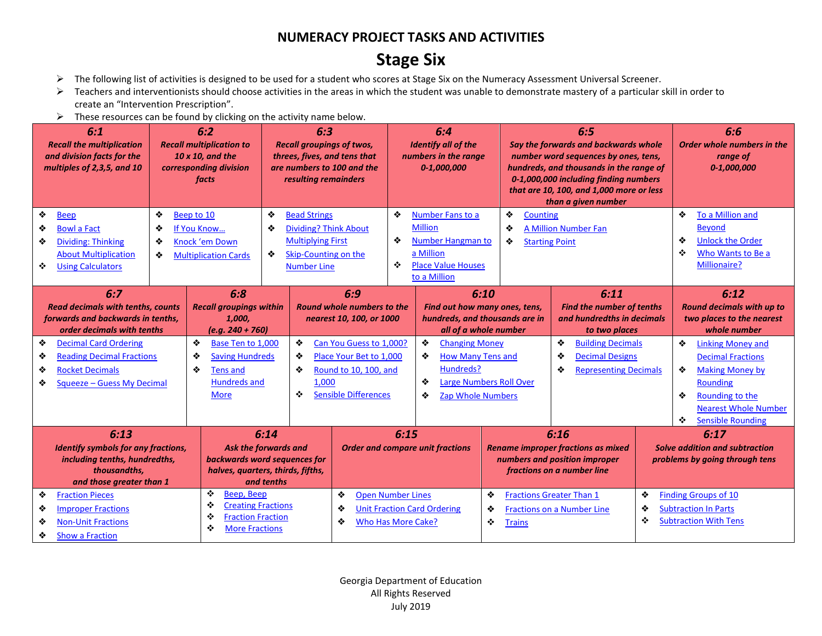## **Stage Six**

- ➢ The following list of activities is designed to be used for a student who scores at Stage Six on the Numeracy Assessment Universal Screener.
- ➢ Teachers and interventionists should choose activities in the areas in which the student was unable to demonstrate mastery of a particular skill in order to create an "Intervention Prescription".
- $\triangleright$  These resources can be found by clicking on the activity name below.

|                  | 6:1<br><b>Recall the multiplication</b><br>and division facts for the<br>multiples of 2,3,5, and 10                                                                                                                                                                                     |                  | 6:2<br><b>Recall multiplication to</b><br>10 x 10, and the<br>corresponding division<br>facts                       | 6:3<br><b>Recall groupings of twos,</b><br>threes, fives, and tens that<br>are numbers to 100 and the<br>resulting remainders                |                                                                                                            |                                                                         | 6:4<br><b>Identify all of the</b><br>numbers in the range<br>0-1,000,000                                                                                                                                                                                                       |                                                                                                                  | 6:5<br>Say the forwards and backwards whole<br>number word sequences by ones, tens,<br>hundreds, and thousands in the range of<br>0-1,000,000 including finding numbers<br>that are 10, 100, and 1,000 more or less<br>than a given number |                                                                                            | 6:6<br>Order whole numbers in the<br>range of<br>$0 - 1,000,000$                                                                                                                                                       |  |
|------------------|-----------------------------------------------------------------------------------------------------------------------------------------------------------------------------------------------------------------------------------------------------------------------------------------|------------------|---------------------------------------------------------------------------------------------------------------------|----------------------------------------------------------------------------------------------------------------------------------------------|------------------------------------------------------------------------------------------------------------|-------------------------------------------------------------------------|--------------------------------------------------------------------------------------------------------------------------------------------------------------------------------------------------------------------------------------------------------------------------------|------------------------------------------------------------------------------------------------------------------|--------------------------------------------------------------------------------------------------------------------------------------------------------------------------------------------------------------------------------------------|--------------------------------------------------------------------------------------------|------------------------------------------------------------------------------------------------------------------------------------------------------------------------------------------------------------------------|--|
| ❖<br>❖<br>❖<br>❖ | <b>Beep</b><br><b>Bowl a Fact</b><br><b>Dividing: Thinking</b><br><b>About Multiplication</b><br><b>Using Calculators</b>                                                                                                                                                               | ❖<br>❖<br>❖<br>❖ | Beep to 10<br>If You Know<br>Knock 'em Down<br><b>Multiplication Cards</b>                                          | ❖<br><b>Bead Strings</b><br>❖<br><b>Dividing? Think About</b><br><b>Multiplying First</b><br>❖<br>Skip-Counting on the<br><b>Number Line</b> |                                                                                                            | ❖<br>❖<br>❖                                                             | Number Fans to a<br><b>Million</b><br>Number Hangman to<br>a Million<br><b>Place Value Houses</b><br>to a Million                                                                                                                                                              | ❖<br>Counting<br>❖<br>❖                                                                                          | <b>A Million Number Fan</b><br><b>Starting Point</b>                                                                                                                                                                                       |                                                                                            | ❖<br>To a Million and<br><b>Beyond</b><br>❖<br><b>Unlock the Order</b><br>❖<br>Who Wants to Be a<br>Millionaire?                                                                                                       |  |
|                  | 6:7<br><b>Read decimals with tenths, counts</b><br>forwards and backwards in tenths,<br>order decimals with tenths                                                                                                                                                                      |                  | 6:8<br><b>Recall groupings within</b><br>1,000,<br>$(e.g. 240 + 760)$                                               | 6:9<br>Round whole numbers to the<br>nearest 10, 100, or 1000                                                                                |                                                                                                            | 6:10<br>Find out how many ones, tens,<br>hundreds, and thousands are in |                                                                                                                                                                                                                                                                                |                                                                                                                  | 6:11<br><b>Find the number of tenths</b><br>and hundredths in decimals<br>to two places                                                                                                                                                    |                                                                                            | 6:12<br><b>Round decimals with up to</b><br>two places to the nearest<br>whole number                                                                                                                                  |  |
| ❖<br>❖<br>❖<br>❖ | <b>Decimal Card Ordering</b><br><b>Reading Decimal Fractions</b><br><b>Rocket Decimals</b><br>Squeeze - Guess My Decimal                                                                                                                                                                |                  | ❖<br>Base Ten to 1,000<br>❖<br><b>Saving Hundreds</b><br>❖<br><b>Tens and</b><br><b>Hundreds and</b><br><b>More</b> | ❖<br>❖<br>❖<br>1.000<br>❖                                                                                                                    | Can You Guess to 1,000?<br>Place Your Bet to 1.000<br>Round to 10, 100, and<br><b>Sensible Differences</b> |                                                                         | all of a whole number<br>❖<br>❖<br><b>Building Decimals</b><br><b>Changing Money</b><br><b>How Many Tens and</b><br>❖<br><b>Decimal Designs</b><br>❖<br>Hundreds?<br>❖<br><b>Representing Decimals</b><br>❖<br><b>Large Numbers Roll Over</b><br>❖<br><b>Zap Whole Numbers</b> |                                                                                                                  |                                                                                                                                                                                                                                            |                                                                                            | ❖<br><b>Linking Money and</b><br><b>Decimal Fractions</b><br>❖<br><b>Making Money by</b><br>Rounding<br>❖<br>Rounding to the<br><b>Nearest Whole Number</b><br>$\mathcal{L}_{\mathcal{C}}$<br><b>Sensible Rounding</b> |  |
|                  | 6:13<br>Identify symbols for any fractions,<br>including tenths, hundredths,<br>thousandths.                                                                                                                                                                                            |                  |                                                                                                                     | 6:14<br>Ask the forwards and<br>backwards word sequences for<br>halves, quarters, thirds, fifths,                                            |                                                                                                            | 6:15<br><b>Order and compare unit fractions</b>                         |                                                                                                                                                                                                                                                                                | 6:16<br><b>Rename improper fractions as mixed</b><br>numbers and position improper<br>fractions on a number line |                                                                                                                                                                                                                                            |                                                                                            | 6:17<br>Solve addition and subtraction<br>problems by going through tens                                                                                                                                               |  |
| ❖<br>❖<br>❖<br>❖ | and tenths<br>and those greater than 1<br>❖<br>Beep, Beep<br>❖<br><b>Fraction Pieces</b><br>❖<br><b>Creating Fractions</b><br>❖<br><b>Improper Fractions</b><br>❖<br><b>Fraction Fraction</b><br><b>Non-Unit Fractions</b><br>❖<br>❖<br><b>More Fractions</b><br><b>Show a Fraction</b> |                  |                                                                                                                     |                                                                                                                                              | <b>Open Number Lines</b><br>❖<br><b>Unit Fraction Card Ordering</b><br>❖<br>Who Has More Cake?<br>❖        |                                                                         | <b>Trains</b>                                                                                                                                                                                                                                                                  | ❖<br><b>Fractions Greater Than 1</b><br>❖<br><b>Fractions on a Number Line</b><br>❖                              |                                                                                                                                                                                                                                            | <b>Finding Groups of 10</b><br><b>Subtraction In Parts</b><br><b>Subtraction With Tens</b> |                                                                                                                                                                                                                        |  |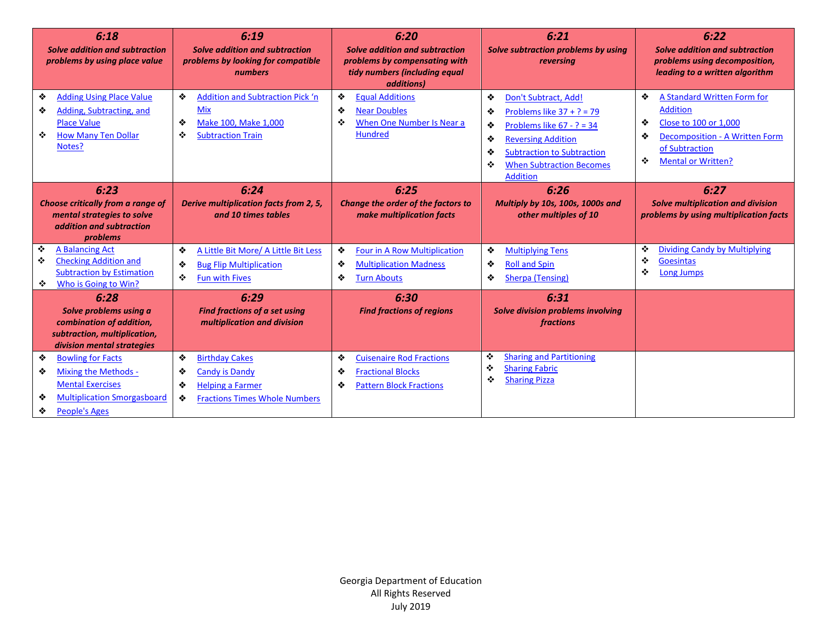| 6:18<br>Solve addition and subtraction<br>problems by using place value                                                                                       | 6:19<br>Solve addition and subtraction<br>problems by looking for compatible<br>numbers                                        | 6:20<br><b>Solve addition and subtraction</b><br>problems by compensating with<br>tidy numbers (including equal<br>additions) | 6:21<br>Solve subtraction problems by using<br>reversing                                                                                                                                                                                 | 6:22<br>Solve addition and subtraction<br>problems using decomposition,<br>leading to a written algorithm                                                                           |  |
|---------------------------------------------------------------------------------------------------------------------------------------------------------------|--------------------------------------------------------------------------------------------------------------------------------|-------------------------------------------------------------------------------------------------------------------------------|------------------------------------------------------------------------------------------------------------------------------------------------------------------------------------------------------------------------------------------|-------------------------------------------------------------------------------------------------------------------------------------------------------------------------------------|--|
| ❖<br><b>Adding Using Place Value</b><br>❖<br>Adding, Subtracting, and<br><b>Place Value</b><br>❖<br><b>How Many Ten Dollar</b><br>Notes?                      | ❖<br><b>Addition and Subtraction Pick 'n</b><br><b>Mix</b><br>Make 100. Make 1,000<br>❖<br>❖<br><b>Subtraction Train</b>       | <b>Equal Additions</b><br>❖<br>❖<br><b>Near Doubles</b><br>When One Number Is Near a<br>❖<br><b>Hundred</b>                   | ❖<br>Don't Subtract, Add!<br>❖<br>Problems like $37 + ? = 79$<br>❖<br>Problems like $67 - ? = 34$<br>❖<br><b>Reversing Addition</b><br>❖<br><b>Subtraction to Subtraction</b><br><b>When Subtraction Becomes</b><br>❖<br><b>Addition</b> | ❖<br>A Standard Written Form for<br><b>Addition</b><br>❖<br>Close to 100 or 1,000<br>❖<br><b>Decomposition - A Written Form</b><br>of Subtraction<br><b>Mental or Written?</b><br>❖ |  |
| 6:23<br>Choose critically from a range of<br>mental strategies to solve<br>addition and subtraction<br>problems                                               | 6:24<br>Derive multiplication facts from 2, 5,<br>and 10 times tables                                                          | 6:25<br>Change the order of the factors to<br>make multiplication facts                                                       | 6:26<br>Multiply by 10s, 100s, 1000s and<br>other multiples of 10                                                                                                                                                                        | 6:27<br><b>Solve multiplication and division</b><br>problems by using multiplication facts                                                                                          |  |
| ❖<br>A Balancing Act<br><b>Checking Addition and</b><br>❖<br><b>Subtraction by Estimation</b><br>Who is Going to Win?<br>❖                                    | A Little Bit More/ A Little Bit Less<br>❖<br><b>Bug Flip Multiplication</b><br>❖<br>❖<br><b>Fun with Fives</b>                 | ❖<br>Four in A Row Multiplication<br>❖<br><b>Multiplication Madness</b><br><b>Turn Abouts</b><br>❖                            | ❖<br><b>Multiplying Tens</b><br>❖<br><b>Roll and Spin</b><br>❖<br>Sherpa (Tensing)                                                                                                                                                       | <b>Dividing Candy by Multiplying</b><br>❖<br>❖<br><b>Goesintas</b><br>❖<br>Long Jumps                                                                                               |  |
| 6:28<br>Solve problems using a<br>combination of addition,<br>subtraction, multiplication,<br>division mental strategies                                      | 6:29<br><b>Find fractions of a set using</b><br>multiplication and division                                                    | 6:30<br><b>Find fractions of regions</b>                                                                                      | 6:31<br><b>Solve division problems involving</b><br>fractions                                                                                                                                                                            |                                                                                                                                                                                     |  |
| ❖<br><b>Bowling for Facts</b><br>Mixing the Methods -<br>❖<br><b>Mental Exercises</b><br><b>Multiplication Smorgasboard</b><br>❖<br><b>People's Ages</b><br>❖ | <b>Birthday Cakes</b><br>❖<br>Candy is Dandy<br>❖<br><b>Helping a Farmer</b><br>❖<br><b>Fractions Times Whole Numbers</b><br>❖ | ❖<br><b>Cuisenaire Rod Fractions</b><br><b>Fractional Blocks</b><br>❖<br><b>Pattern Block Fractions</b><br>❖                  | <b>Sharing and Partitioning</b><br>❖<br>٠<br><b>Sharing Fabric</b><br>❖<br><b>Sharing Pizza</b>                                                                                                                                          |                                                                                                                                                                                     |  |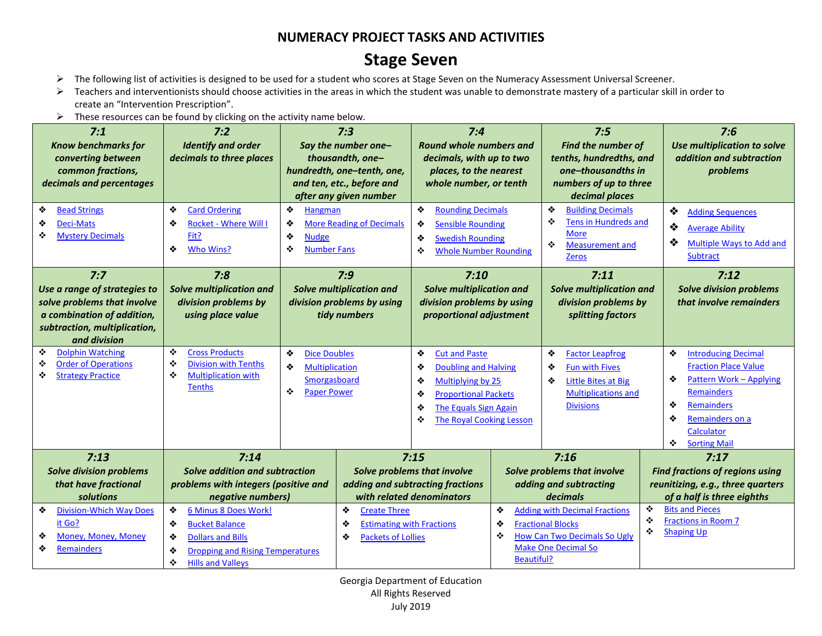## **Stage Seven**

- ➢ The following list of activities is designed to be used for a student who scores at Stage Seven on the Numeracy Assessment Universal Screener.
- ➢ Teachers and interventionists should choose activities in the areas in which the student was unable to demonstrate mastery of a particular skill in order to create an "Intervention Prescription".
- $\triangleright$  These resources can be found by clicking on the activity name below.

| 7:1<br><b>Know benchmarks for</b><br>converting between<br>common fractions,<br>decimals and percentages                                         | 7:2<br><b>Identify and order</b><br>decimals to three places                                                                                                              |                                                                                                   | 7:3<br>Say the number one-<br>thousandth, one-<br>hundredth, one-tenth, one,<br>and ten, etc., before and<br>after any given number | 7:4<br><b>Round whole numbers and</b><br>decimals, with up to two<br>places, to the nearest<br>whole number, or tenth                                                                             |                                  | 7:5<br><b>Find the number of</b><br>tenths, hundredths, and<br>one-thousandths in<br>numbers of up to three<br>decimal places           | 7:6<br>Use multiplication to solve<br>addition and subtraction<br>problems                                                                                                                                             |
|--------------------------------------------------------------------------------------------------------------------------------------------------|---------------------------------------------------------------------------------------------------------------------------------------------------------------------------|---------------------------------------------------------------------------------------------------|-------------------------------------------------------------------------------------------------------------------------------------|---------------------------------------------------------------------------------------------------------------------------------------------------------------------------------------------------|----------------------------------|-----------------------------------------------------------------------------------------------------------------------------------------|------------------------------------------------------------------------------------------------------------------------------------------------------------------------------------------------------------------------|
| ❖<br><b>Bead Strings</b><br><b>Deci-Mats</b><br>❖<br>❖<br><b>Mystery Decimals</b>                                                                | ❖<br><b>Card Ordering</b><br>❖<br><b>Rocket - Where Will I</b><br>Fit?<br>❖<br>Who Wins?                                                                                  | ❖<br>Hangman<br>❖<br>❖<br><b>Nudge</b><br>❖<br><b>Number Fans</b>                                 | <b>More Reading of Decimals</b>                                                                                                     | ❖<br><b>Rounding Decimals</b><br>❖<br><b>Sensible Rounding</b><br>❖<br><b>Swedish Rounding</b><br>❖<br><b>Whole Number Rounding</b>                                                               |                                  | ❖<br><b>Building Decimals</b><br>❖<br>Tens in Hundreds and<br><b>More</b><br>❖<br><b>Measurement and</b><br><b>Zeros</b>                | ❖<br><b>Adding Sequences</b><br>❖<br><b>Average Ability</b><br>❖<br>Multiple Ways to Add and<br>Subtract                                                                                                               |
| 7:7<br>Use a range of strategies to<br>solve problems that involve<br>a combination of addition,<br>subtraction, multiplication,<br>and division | 7:8<br>Solve multiplication and<br>division problems by<br>using place value                                                                                              |                                                                                                   | 7:9<br><b>Solve multiplication and</b><br>division problems by using<br>tidy numbers                                                | 7:10<br><b>Solve multiplication and</b><br>division problems by using<br>proportional adjustment                                                                                                  |                                  | 7:11<br><b>Solve multiplication and</b><br>division problems by<br>splitting factors                                                    | 7:12<br><b>Solve division problems</b><br>that involve remainders                                                                                                                                                      |
| <b>Dolphin Watching</b><br>❖<br><b>Order of Operations</b><br>❖<br><b>Strategy Practice</b><br>❖                                                 | ❖<br><b>Cross Products</b><br>❖<br><b>Division with Tenths</b><br>❖<br><b>Multiplication with</b><br><b>Tenths</b>                                                        | ❖<br><b>Dice Doubles</b><br>❖<br><b>Multiplication</b><br>Smorgasboard<br>❖<br><b>Paper Power</b> |                                                                                                                                     | ❖<br><b>Cut and Paste</b><br><b>Doubling and Halving</b><br>❖<br>Multiplying by 25<br>❖<br><b>Proportional Packets</b><br>❖<br>The Equals Sign Again<br>❖<br>❖<br><b>The Royal Cooking Lesson</b> |                                  | ❖<br><b>Factor Leapfrog</b><br>❖<br><b>Fun with Fives</b><br>Little Bites at Big<br>❖<br><b>Multiplications and</b><br><b>Divisions</b> | ❖<br><b>Introducing Decimal</b><br><b>Fraction Place Value</b><br>❖<br><b>Pattern Work - Applying</b><br><b>Remainders</b><br>❖<br><b>Remainders</b><br>❖<br>Remainders on a<br>Calculator<br>÷<br><b>Sorting Mail</b> |
| 7:13<br><b>Solve division problems</b><br>that have fractional<br>solutions                                                                      | 7:14<br>Solve addition and subtraction<br>problems with integers (positive and<br>negative numbers)                                                                       |                                                                                                   | with related denominators                                                                                                           | 7:15<br>Solve problems that involve<br>adding and subtracting fractions                                                                                                                           |                                  | 7:16<br>Solve problems that involve<br>adding and subtracting<br><i>decimals</i>                                                        | 7:17<br><b>Find fractions of regions using</b><br>reunitizing, e.g., three quarters<br>of a half is three eighths                                                                                                      |
| <b>Division-Which Way Does</b><br>❖<br>it Go?<br>Money, Money, Money<br>❖<br><b>Remainders</b><br>❖                                              | 6 Minus 8 Does Work!<br>❖<br><b>Bucket Balance</b><br>❖<br><b>Dollars and Bills</b><br>❖<br><b>Dropping and Rising Temperatures</b><br>❖<br>❖<br><b>Hills and Valleys</b> |                                                                                                   | ❖<br><b>Create Three</b><br><b>Estimating with Fractions</b><br>❖<br>❖<br><b>Packets of Lollies</b>                                 |                                                                                                                                                                                                   | ❖<br>❖<br>❖<br><b>Beautiful?</b> | <b>Adding with Decimal Fractions</b><br><b>Fractional Blocks</b><br><b>How Can Two Decimals So Ugly</b><br><b>Make One Decimal So</b>   | ❖<br><b>Bits and Pieces</b><br>❖<br><b>Fractions in Room 7</b><br>❖<br><b>Shaping Up</b>                                                                                                                               |

Georgia Department of Education All Rights Reserved July 2019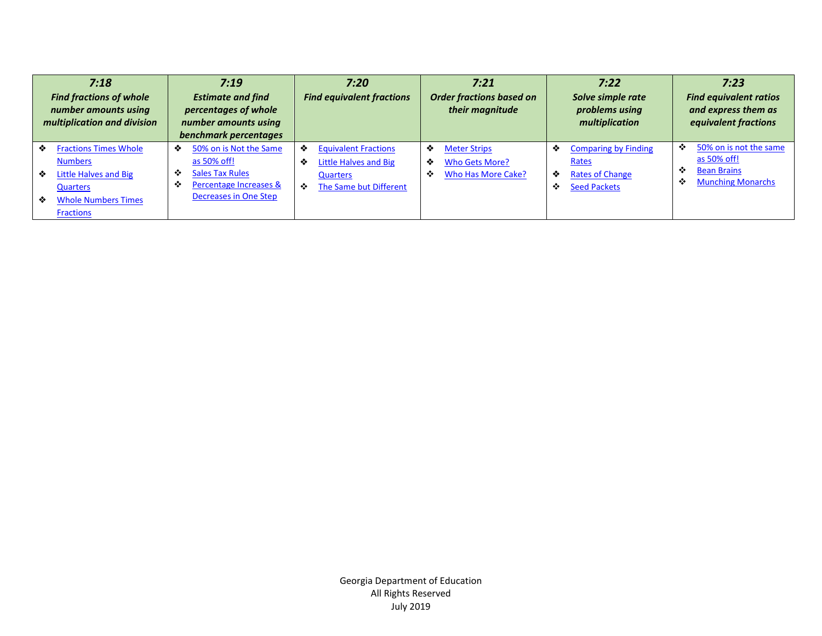|             | 7:18<br><b>Find fractions of whole</b><br>number amounts using<br>multiplication and division                                                |             | 7:19<br><b>Estimate and find</b><br>percentages of whole<br>number amounts using<br>benchmark percentages          |             | 7:20<br><b>Find equivalent fractions</b>                                                   |             | 7:21<br><b>Order fractions based on</b><br>their magnitude         |             | 7:22<br>Solve simple rate<br>problems using<br>multiplication                         |             | 7:23<br><b>Find equivalent ratios</b><br>and express them as<br>equivalent fractions    |
|-------------|----------------------------------------------------------------------------------------------------------------------------------------------|-------------|--------------------------------------------------------------------------------------------------------------------|-------------|--------------------------------------------------------------------------------------------|-------------|--------------------------------------------------------------------|-------------|---------------------------------------------------------------------------------------|-------------|-----------------------------------------------------------------------------------------|
| ❖<br>❖<br>❖ | <b>Fractions Times Whole</b><br><b>Numbers</b><br><b>Little Halves and Big</b><br>Quarters<br><b>Whole Numbers Times</b><br><b>Fractions</b> | ❖<br>❖<br>❖ | 50% on is Not the Same<br>as 50% off!<br><b>Sales Tax Rules</b><br>Percentage Increases &<br>Decreases in One Step | ❖<br>❖<br>❖ | <b>Equivalent Fractions</b><br>Little Halves and Big<br>Quarters<br>The Same but Different | ❖<br>❖<br>❖ | <b>Meter Strips</b><br><b>Who Gets More?</b><br>Who Has More Cake? | ❖<br>❖<br>❖ | <b>Comparing by Finding</b><br>Rates<br><b>Rates of Change</b><br><b>Seed Packets</b> | ❖<br>❖<br>❖ | 50% on is not the same<br>as 50% off!<br><b>Bean Brains</b><br><b>Munching Monarchs</b> |